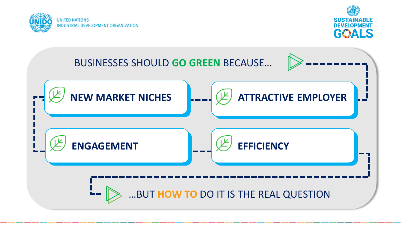



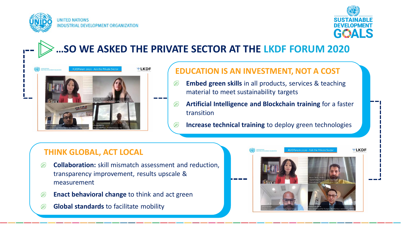



**…SO WE ASKED THE PRIVATE SECTOR AT THE LKDF FORUM 2020**



#### **EDUCATION IS AN INVESTMENT, NOT A COST**

- **Embed green skills** in all products, services & teaching  $\mathbb{Z}$ material to meet sustainability targets
- **Artificial Intelligence and Blockchain training** for a faster  $\mathscr{B}$ transition
- **Increase technical training** to deploy green technologies  $\mathbb{Z}$

### **THINK GLOBAL, ACT LOCAL**

- **Collaboration:** skill mismatch assessment and reduction,  $\mathbb{Z}$ transparency improvement, results upscale & measurement
- $\mathscr{L}$ **Enact behavioral change** to think and act green
- $(E)$ **Global standards** to facilitate mobility

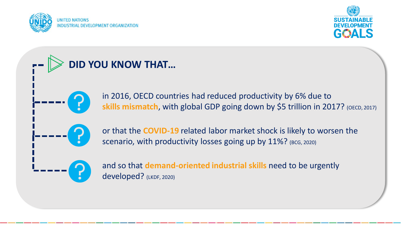



# **DID YOU KNOW THAT…**



in 2016, OECD countries had reduced productivity by 6% due to **skills mismatch, with global GDP going down by \$5 trillion in 2017?** (OECD, 2017)



or that the **COVID-19** related labor market shock is likely to worsen the scenario, with productivity losses going up by 11%? (BCG, 2020)



and so that **demand-oriented industrial skills** need to be urgently developed? (LKDF, 2020)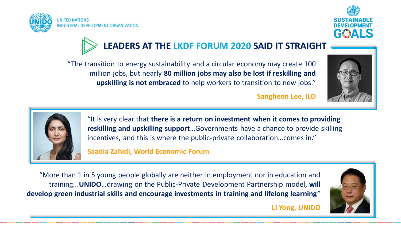







"The transition to energy sustainability and a circular economy may create 100 million jobs, but nearly **80 million jobs may also be lost if reskilling and upskilling is not embraced** to help workers to transition to new jobs."

**Sangheon Lee, ILO**



"It is very clear that **there is a return on investment when it comes to providing reskilling and upskilling support**…Governments have a chance to provide skilling incentives, and this is where the public-private collaboration…comes in."

#### **Saadia Zahidi, World Economic Forum**

"More than 1 in 5 young people globally are neither in employment nor in education and training...**UNIDO**…drawing on the Public-Private Development Partnership model, **will develop green industrial skills and encourage investments in training and lifelong learning**."



**LI Yong, UNIDO**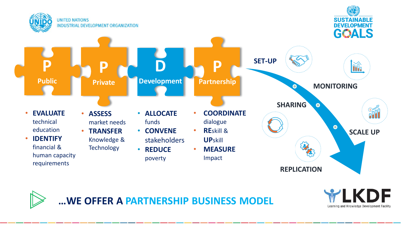





**…WE OFFER A PARTNERSHIP BUSINESS MODEL**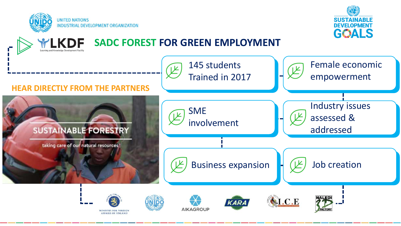



# **SADC FOREST FOR GREEN EMPLOYMENT**

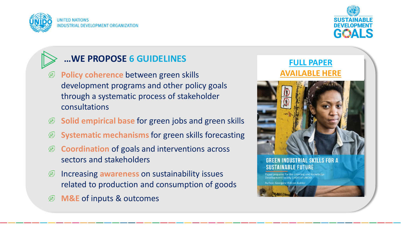



## **…WE PROPOSE 6 GUIDELINES**

- **Policy coherence** between green skills  $(E)$ development programs and other policy goals through a systematic process of stakeholder consultations
- **Solid empirical base** for green jobs and green skills  $(\n\mathbb{E})$
- **Systematic mechanisms** for green skills forecasting  $(E)$
- $\mathbb{Z}$ **Coordination** of goals and interventions across sectors and stakeholders
- Increasing **awareness** on sustainability issues  $(E)$ related to production and consumption of goods
- **M&E** of inputs & outcomes  $\mathscr{F}$

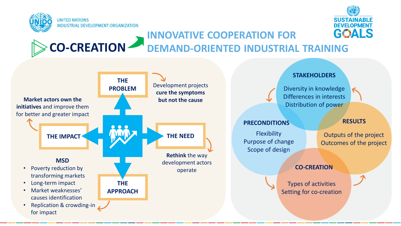



#### **CO-CREATION INNOVATIVE COOPERATION FOR DEMAND-ORIENTED INDUSTRIAL TRAINING**

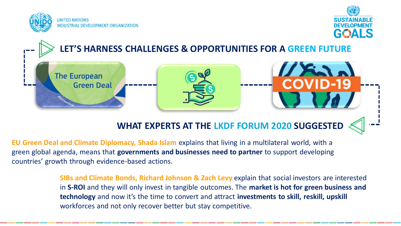





## **WHAT EXPERTS AT THE LKDF FORUM 2020 SUGGESTED**

**EU Green Deal and Climate Diplomacy, Shada Islam** explains that living in a multilateral world, with a green global agenda, means that **governments and businesses need to partner** to support developing countries' growth through evidence-based actions.

> **SIBs and Climate Bonds, Richard Johnson & Zach Levy** explain that social investors are interested in **S-ROI** and they will only invest in tangible outcomes. The **market is hot for green business and technology** and now it's the time to convert and attract **investments to skill, reskill, upskill** workforces and not only recover better but stay competitive.